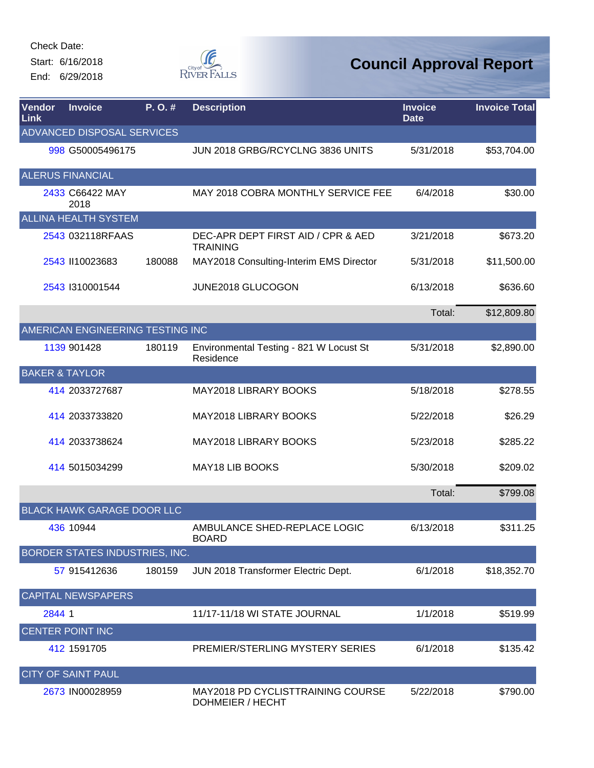Start: 6/16/2018 End: 6/29/2018



| Vendor<br>Link | <b>Invoice</b>                    | P.O.#  | <b>Description</b>                                    | <b>Invoice</b><br><b>Date</b> | <b>Invoice Total</b> |
|----------------|-----------------------------------|--------|-------------------------------------------------------|-------------------------------|----------------------|
|                | ADVANCED DISPOSAL SERVICES        |        |                                                       |                               |                      |
|                | 998 G50005496175                  |        | JUN 2018 GRBG/RCYCLNG 3836 UNITS                      | 5/31/2018                     | \$53,704.00          |
|                | <b>ALERUS FINANCIAL</b>           |        |                                                       |                               |                      |
|                | 2433 C66422 MAY<br>2018           |        | MAY 2018 COBRA MONTHLY SERVICE FEE                    | 6/4/2018                      | \$30.00              |
|                | <b>ALLINA HEALTH SYSTEM</b>       |        |                                                       |                               |                      |
|                | 2543 032118RFAAS                  |        | DEC-APR DEPT FIRST AID / CPR & AED<br><b>TRAINING</b> | 3/21/2018                     | \$673.20             |
|                | 2543 II10023683                   | 180088 | MAY2018 Consulting-Interim EMS Director               | 5/31/2018                     | \$11,500.00          |
|                | 2543 1310001544                   |        | JUNE2018 GLUCOGON                                     | 6/13/2018                     | \$636.60             |
|                |                                   |        |                                                       | Total:                        | \$12,809.80          |
|                | AMERICAN ENGINEERING TESTING INC  |        |                                                       |                               |                      |
|                | 1139 901428                       | 180119 | Environmental Testing - 821 W Locust St<br>Residence  | 5/31/2018                     | \$2,890.00           |
|                | <b>BAKER &amp; TAYLOR</b>         |        |                                                       |                               |                      |
|                | 414 2033727687                    |        | MAY2018 LIBRARY BOOKS                                 | 5/18/2018                     | \$278.55             |
|                | 414 2033733820                    |        | MAY2018 LIBRARY BOOKS                                 | 5/22/2018                     | \$26.29              |
|                | 414 2033738624                    |        | MAY2018 LIBRARY BOOKS                                 | 5/23/2018                     | \$285.22             |
|                | 414 5015034299                    |        | <b>MAY18 LIB BOOKS</b>                                | 5/30/2018                     | \$209.02             |
|                |                                   |        |                                                       | Total:                        | \$799.08             |
|                | <b>BLACK HAWK GARAGE DOOR LLC</b> |        |                                                       |                               |                      |
|                | 436 10944                         |        | AMBULANCE SHED-REPLACE LOGIC<br><b>BOARD</b>          | 6/13/2018                     | \$311.25             |
|                | BORDER STATES INDUSTRIES, INC.    |        |                                                       |                               |                      |
|                | 57 915412636                      | 180159 | JUN 2018 Transformer Electric Dept.                   | 6/1/2018                      | \$18,352.70          |
|                | <b>CAPITAL NEWSPAPERS</b>         |        |                                                       |                               |                      |
| 2844 1         |                                   |        | 11/17-11/18 WI STATE JOURNAL                          | 1/1/2018                      | \$519.99             |
|                | <b>CENTER POINT INC</b>           |        |                                                       |                               |                      |
|                | 412 1591705                       |        | PREMIER/STERLING MYSTERY SERIES                       | 6/1/2018                      | \$135.42             |
|                | <b>CITY OF SAINT PAUL</b>         |        |                                                       |                               |                      |
|                | 2673 IN00028959                   |        | MAY2018 PD CYCLISTTRAINING COURSE<br>DOHMEIER / HECHT | 5/22/2018                     | \$790.00             |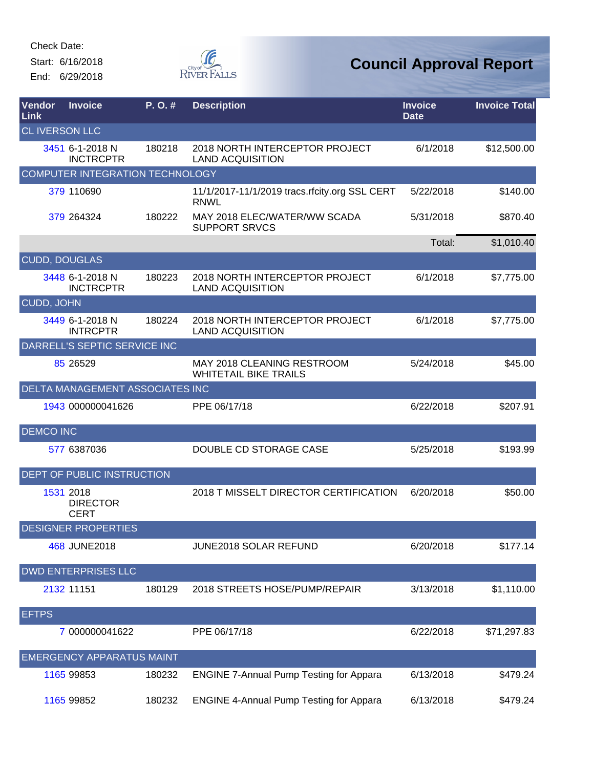Start: 6/16/2018 End: 6/29/2018



| <b>Vendor</b><br>Link | <b>Invoice</b>                              | $P. O.$ # | <b>Description</b>                                           | <b>Invoice</b><br><b>Date</b> | <b>Invoice Total</b> |
|-----------------------|---------------------------------------------|-----------|--------------------------------------------------------------|-------------------------------|----------------------|
| <b>CL IVERSON LLC</b> |                                             |           |                                                              |                               |                      |
|                       | 3451 6-1-2018 N<br><b>INCTRCPTR</b>         | 180218    | 2018 NORTH INTERCEPTOR PROJECT<br><b>LAND ACQUISITION</b>    | 6/1/2018                      | \$12,500.00          |
|                       | <b>COMPUTER INTEGRATION TECHNOLOGY</b>      |           |                                                              |                               |                      |
|                       | 379 110690                                  |           | 11/1/2017-11/1/2019 tracs.rfcity.org SSL CERT<br><b>RNWL</b> | 5/22/2018                     | \$140.00             |
|                       | 379 264324                                  | 180222    | MAY 2018 ELEC/WATER/WW SCADA<br><b>SUPPORT SRVCS</b>         | 5/31/2018                     | \$870.40             |
|                       |                                             |           |                                                              | Total:                        | \$1,010.40           |
| <b>CUDD, DOUGLAS</b>  |                                             |           |                                                              |                               |                      |
|                       | 3448 6-1-2018 N<br><b>INCTRCPTR</b>         | 180223    | 2018 NORTH INTERCEPTOR PROJECT<br><b>LAND ACQUISITION</b>    | 6/1/2018                      | \$7,775.00           |
| CUDD, JOHN            |                                             |           |                                                              |                               |                      |
|                       | 3449 6-1-2018 N<br><b>INTRCPTR</b>          | 180224    | 2018 NORTH INTERCEPTOR PROJECT<br><b>LAND ACQUISITION</b>    | 6/1/2018                      | \$7,775.00           |
|                       | DARRELL'S SEPTIC SERVICE INC                |           |                                                              |                               |                      |
|                       | 85 265 29                                   |           | MAY 2018 CLEANING RESTROOM<br><b>WHITETAIL BIKE TRAILS</b>   | 5/24/2018                     | \$45.00              |
|                       | DELTA MANAGEMENT ASSOCIATES INC             |           |                                                              |                               |                      |
|                       | 1943 000000041626                           |           | PPE 06/17/18                                                 | 6/22/2018                     | \$207.91             |
| <b>DEMCO INC</b>      |                                             |           |                                                              |                               |                      |
|                       | 577 6387036                                 |           | DOUBLE CD STORAGE CASE                                       | 5/25/2018                     | \$193.99             |
|                       | DEPT OF PUBLIC INSTRUCTION                  |           |                                                              |                               |                      |
|                       | 1531 2018<br><b>DIRECTOR</b><br><b>CERT</b> |           | 2018 T MISSELT DIRECTOR CERTIFICATION                        | 6/20/2018                     | \$50.00              |
|                       | <b>DESIGNER PROPERTIES</b>                  |           |                                                              |                               |                      |
|                       | 468 JUNE2018                                |           | <b>JUNE2018 SOLAR REFUND</b>                                 | 6/20/2018                     | \$177.14             |
|                       | <b>DWD ENTERPRISES LLC</b>                  |           |                                                              |                               |                      |
|                       | 2132 11151                                  | 180129    | 2018 STREETS HOSE/PUMP/REPAIR                                | 3/13/2018                     | \$1,110.00           |
| <b>EFTPS</b>          |                                             |           |                                                              |                               |                      |
|                       | 7 000000041622                              |           | PPE 06/17/18                                                 | 6/22/2018                     | \$71,297.83          |
|                       | <b>EMERGENCY APPARATUS MAINT</b>            |           |                                                              |                               |                      |
|                       | 1165 99853                                  | 180232    | <b>ENGINE 7-Annual Pump Testing for Appara</b>               | 6/13/2018                     | \$479.24             |
|                       | 1165 99852                                  | 180232    | <b>ENGINE 4-Annual Pump Testing for Appara</b>               | 6/13/2018                     | \$479.24             |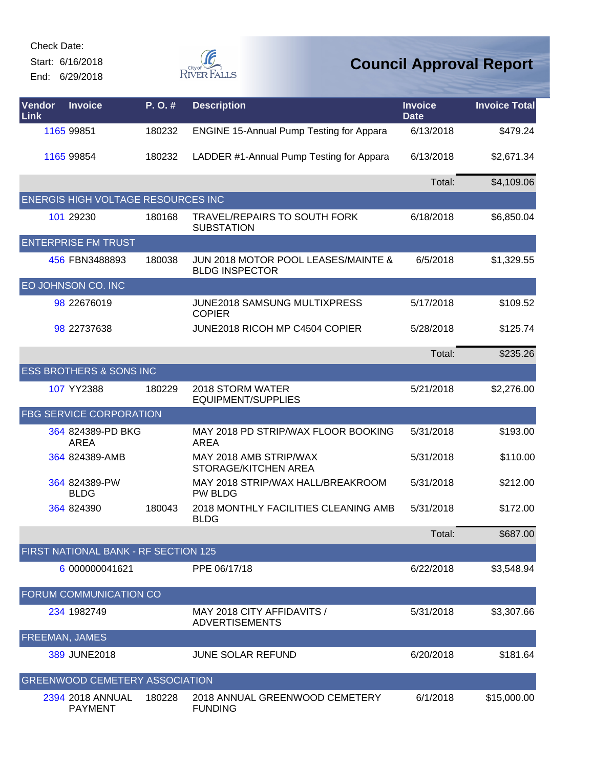Start: 6/16/2018 End: 6/29/2018



| Vendor<br>Link | <b>Invoice</b>                            | P.O.#  | <b>Description</b>                                                      | <b>Invoice</b><br><b>Date</b> | <b>Invoice Total</b> |
|----------------|-------------------------------------------|--------|-------------------------------------------------------------------------|-------------------------------|----------------------|
|                | 1165 99851                                | 180232 | <b>ENGINE 15-Annual Pump Testing for Appara</b>                         | 6/13/2018                     | \$479.24             |
|                | 1165 99854                                | 180232 | LADDER #1-Annual Pump Testing for Appara                                | 6/13/2018                     | \$2,671.34           |
|                |                                           |        |                                                                         | Total:                        | \$4,109.06           |
|                | <b>ENERGIS HIGH VOLTAGE RESOURCES INC</b> |        |                                                                         |                               |                      |
|                | 101 29230                                 | 180168 | <b>TRAVEL/REPAIRS TO SOUTH FORK</b><br><b>SUBSTATION</b>                | 6/18/2018                     | \$6,850.04           |
|                | <b>ENTERPRISE FM TRUST</b>                |        |                                                                         |                               |                      |
|                | 456 FBN3488893                            | 180038 | <b>JUN 2018 MOTOR POOL LEASES/MAINTE &amp;</b><br><b>BLDG INSPECTOR</b> | 6/5/2018                      | \$1,329.55           |
|                | EO JOHNSON CO. INC                        |        |                                                                         |                               |                      |
|                | 98 22676019                               |        | <b>JUNE2018 SAMSUNG MULTIXPRESS</b><br><b>COPIER</b>                    | 5/17/2018                     | \$109.52             |
|                | 98 22737638                               |        | JUNE2018 RICOH MP C4504 COPIER                                          | 5/28/2018                     | \$125.74             |
|                |                                           |        |                                                                         | Total:                        | \$235.26             |
|                | <b>ESS BROTHERS &amp; SONS INC</b>        |        |                                                                         |                               |                      |
|                | 107 YY2388                                | 180229 | 2018 STORM WATER<br><b>EQUIPMENT/SUPPLIES</b>                           | 5/21/2018                     | \$2,276.00           |
|                | FBG SERVICE CORPORATION                   |        |                                                                         |                               |                      |
|                | 364 824389-PD BKG<br><b>AREA</b>          |        | MAY 2018 PD STRIP/WAX FLOOR BOOKING<br><b>AREA</b>                      | 5/31/2018                     | \$193.00             |
|                | 364 824389-AMB                            |        | MAY 2018 AMB STRIP/WAX<br>STORAGE/KITCHEN AREA                          | 5/31/2018                     | \$110.00             |
|                | 364 824389-PW<br><b>BLDG</b>              |        | MAY 2018 STRIP/WAX HALL/BREAKROOM<br><b>PW BLDG</b>                     | 5/31/2018                     | \$212.00             |
|                | 364 824390                                | 180043 | 2018 MONTHLY FACILITIES CLEANING AMB<br><b>BLDG</b>                     | 5/31/2018                     | \$172.00             |
|                |                                           |        |                                                                         | Total:                        | \$687.00             |
|                | FIRST NATIONAL BANK - RF SECTION 125      |        |                                                                         |                               |                      |
|                | 6 000000041621                            |        | PPE 06/17/18                                                            | 6/22/2018                     | \$3,548.94           |
|                | FORUM COMMUNICATION CO                    |        |                                                                         |                               |                      |
|                | 234 1982749                               |        | MAY 2018 CITY AFFIDAVITS /<br><b>ADVERTISEMENTS</b>                     | 5/31/2018                     | \$3,307.66           |
|                | FREEMAN, JAMES                            |        |                                                                         |                               |                      |
|                | 389 JUNE2018                              |        | <b>JUNE SOLAR REFUND</b>                                                | 6/20/2018                     | \$181.64             |
|                | <b>GREENWOOD CEMETERY ASSOCIATION</b>     |        |                                                                         |                               |                      |
|                | 2394 2018 ANNUAL<br><b>PAYMENT</b>        | 180228 | 2018 ANNUAL GREENWOOD CEMETERY<br><b>FUNDING</b>                        | 6/1/2018                      | \$15,000.00          |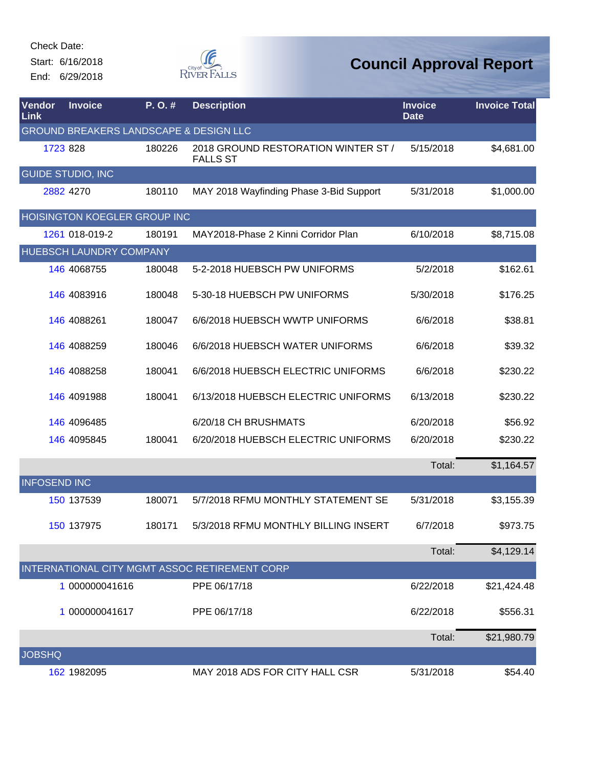Start: 6/16/2018 End: 6/29/2018



| Vendor<br>Link      | <b>Invoice</b>                                    | P.O.#  | <b>Description</b>                                     | <b>Invoice</b><br><b>Date</b> | <b>Invoice Total</b> |
|---------------------|---------------------------------------------------|--------|--------------------------------------------------------|-------------------------------|----------------------|
|                     | <b>GROUND BREAKERS LANDSCAPE &amp; DESIGN LLC</b> |        |                                                        |                               |                      |
| 1723 828            |                                                   | 180226 | 2018 GROUND RESTORATION WINTER ST /<br><b>FALLS ST</b> | 5/15/2018                     | \$4,681.00           |
|                     | <b>GUIDE STUDIO, INC</b>                          |        |                                                        |                               |                      |
|                     | 2882 4270                                         | 180110 | MAY 2018 Wayfinding Phase 3-Bid Support                | 5/31/2018                     | \$1,000.00           |
|                     | <b>HOISINGTON KOEGLER GROUP INC</b>               |        |                                                        |                               |                      |
|                     | 1261 018-019-2                                    | 180191 | MAY2018-Phase 2 Kinni Corridor Plan                    | 6/10/2018                     | \$8,715.08           |
|                     | HUEBSCH LAUNDRY COMPANY                           |        |                                                        |                               |                      |
|                     | 146 4068755                                       | 180048 | 5-2-2018 HUEBSCH PW UNIFORMS                           | 5/2/2018                      | \$162.61             |
|                     | 146 4083916                                       | 180048 | 5-30-18 HUEBSCH PW UNIFORMS                            | 5/30/2018                     | \$176.25             |
|                     | 146 4088261                                       | 180047 | 6/6/2018 HUEBSCH WWTP UNIFORMS                         | 6/6/2018                      | \$38.81              |
|                     | 146 4088259                                       | 180046 | 6/6/2018 HUEBSCH WATER UNIFORMS                        | 6/6/2018                      | \$39.32              |
|                     | 146 4088258                                       | 180041 | 6/6/2018 HUEBSCH ELECTRIC UNIFORMS                     | 6/6/2018                      | \$230.22             |
|                     | 146 4091988                                       | 180041 | 6/13/2018 HUEBSCH ELECTRIC UNIFORMS                    | 6/13/2018                     | \$230.22             |
|                     | 146 4096485                                       |        | 6/20/18 CH BRUSHMATS                                   | 6/20/2018                     | \$56.92              |
|                     | 146 4095845                                       | 180041 | 6/20/2018 HUEBSCH ELECTRIC UNIFORMS                    | 6/20/2018                     | \$230.22             |
|                     |                                                   |        |                                                        | Total:                        | \$1,164.57           |
| <b>INFOSEND INC</b> |                                                   |        |                                                        |                               |                      |
|                     | 150 137539                                        | 180071 | 5/7/2018 RFMU MONTHLY STATEMENT SE                     | 5/31/2018                     | \$3,155.39           |
|                     | 150 137975                                        | 180171 | 5/3/2018 RFMU MONTHLY BILLING INSERT                   | 6/7/2018                      | \$973.75             |
|                     |                                                   |        |                                                        | Total:                        | \$4,129.14           |
|                     |                                                   |        | INTERNATIONAL CITY MGMT ASSOC RETIREMENT CORP          |                               |                      |
|                     | 1 000000041616                                    |        | PPE 06/17/18                                           | 6/22/2018                     | \$21,424.48          |
|                     | 1 000000041617                                    |        | PPE 06/17/18                                           | 6/22/2018                     | \$556.31             |
|                     |                                                   |        |                                                        | Total:                        | \$21,980.79          |
| <b>JOBSHQ</b>       |                                                   |        |                                                        |                               |                      |
|                     | 162 1982095                                       |        | MAY 2018 ADS FOR CITY HALL CSR                         | 5/31/2018                     | \$54.40              |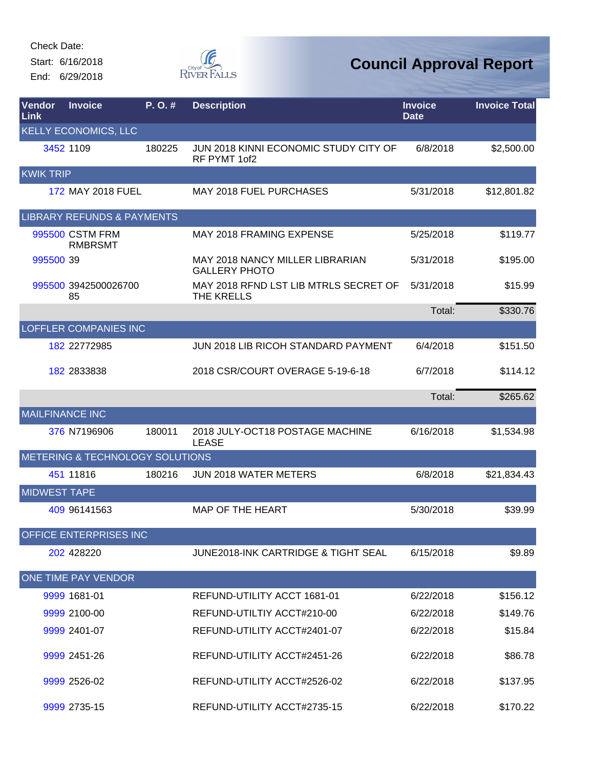Start: 6/16/2018 End: 6/29/2018



| Vendor<br>Link         | <b>Invoice</b>                        | P.O.#  | <b>Description</b>                                      | <b>Invoice</b><br><b>Date</b> | <b>Invoice Total</b> |
|------------------------|---------------------------------------|--------|---------------------------------------------------------|-------------------------------|----------------------|
|                        | <b>KELLY ECONOMICS, LLC</b>           |        |                                                         |                               |                      |
|                        | 3452 1109                             | 180225 | JUN 2018 KINNI ECONOMIC STUDY CITY OF<br>RF PYMT 1of2   | 6/8/2018                      | \$2,500.00           |
| <b>KWIK TRIP</b>       |                                       |        |                                                         |                               |                      |
|                        | 172 MAY 2018 FUEL                     |        | <b>MAY 2018 FUEL PURCHASES</b>                          | 5/31/2018                     | \$12,801.82          |
|                        | <b>LIBRARY REFUNDS &amp; PAYMENTS</b> |        |                                                         |                               |                      |
|                        | 995500 CSTM FRM<br><b>RMBRSMT</b>     |        | MAY 2018 FRAMING EXPENSE                                | 5/25/2018                     | \$119.77             |
| 995500 39              |                                       |        | MAY 2018 NANCY MILLER LIBRARIAN<br><b>GALLERY PHOTO</b> | 5/31/2018                     | \$195.00             |
|                        | 995500 3942500026700<br>85            |        | MAY 2018 RFND LST LIB MTRLS SECRET OF<br>THE KRELLS     | 5/31/2018                     | \$15.99              |
|                        |                                       |        |                                                         | Total:                        | \$330.76             |
|                        | <b>LOFFLER COMPANIES INC</b>          |        |                                                         |                               |                      |
|                        | 182 22772985                          |        | JUN 2018 LIB RICOH STANDARD PAYMENT                     | 6/4/2018                      | \$151.50             |
|                        | 182 2833838                           |        | 2018 CSR/COURT OVERAGE 5-19-6-18                        | 6/7/2018                      | \$114.12             |
|                        |                                       |        |                                                         | Total:                        | \$265.62             |
| <b>MAILFINANCE INC</b> |                                       |        |                                                         |                               |                      |
|                        | 376 N7196906                          | 180011 | 2018 JULY-OCT18 POSTAGE MACHINE<br><b>LEASE</b>         | 6/16/2018                     | \$1,534.98           |
|                        | METERING & TECHNOLOGY SOLUTIONS       |        |                                                         |                               |                      |
|                        | 451 11816                             | 180216 | <b>JUN 2018 WATER METERS</b>                            | 6/8/2018                      | \$21,834.43          |
| <b>MIDWEST TAPE</b>    |                                       |        |                                                         |                               |                      |
|                        | 409 96141563                          |        | MAP OF THE HEART                                        | 5/30/2018                     | \$39.99              |
|                        | OFFICE ENTERPRISES INC                |        |                                                         |                               |                      |
|                        | 202 428220                            |        | <b>JUNE2018-INK CARTRIDGE &amp; TIGHT SEAL</b>          | 6/15/2018                     | \$9.89               |
|                        | ONE TIME PAY VENDOR                   |        |                                                         |                               |                      |
|                        | 9999 1681-01                          |        | REFUND-UTILITY ACCT 1681-01                             | 6/22/2018                     | \$156.12             |
|                        | 9999 2100-00                          |        | REFUND-UTILTIY ACCT#210-00                              | 6/22/2018                     | \$149.76             |
|                        | 9999 2401-07                          |        | REFUND-UTILITY ACCT#2401-07                             | 6/22/2018                     | \$15.84              |
|                        | 9999 2451-26                          |        | REFUND-UTILITY ACCT#2451-26                             | 6/22/2018                     | \$86.78              |
|                        | 9999 2526-02                          |        | REFUND-UTILITY ACCT#2526-02                             | 6/22/2018                     | \$137.95             |
|                        | 9999 2735-15                          |        | REFUND-UTILITY ACCT#2735-15                             | 6/22/2018                     | \$170.22             |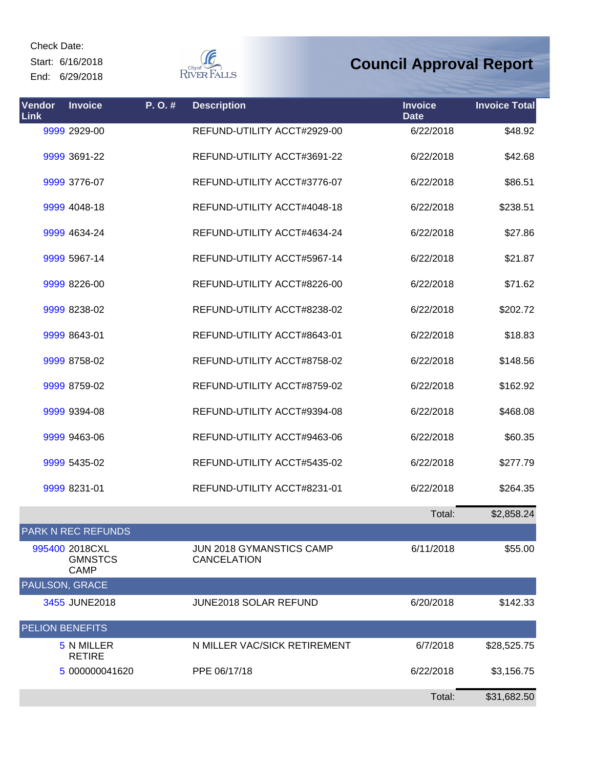Start: 6/16/2018 End: 6/29/2018  $\begin{picture}(120,110) \put(0,0){\line(1,0){15}} \put(15,0){\line(1,0){15}} \put(15,0){\line(1,0){15}} \put(15,0){\line(1,0){15}} \put(15,0){\line(1,0){15}} \put(15,0){\line(1,0){15}} \put(15,0){\line(1,0){15}} \put(15,0){\line(1,0){15}} \put(15,0){\line(1,0){15}} \put(15,0){\line(1,0){15}} \put(15,0){\line(1,0){15}} \put(15,0){\line$ 

| Vendor<br>Link         | <b>Invoice</b>                                  | P.O.# | <b>Description</b>                             | <b>Invoice</b><br><b>Date</b> | <b>Invoice Total</b> |
|------------------------|-------------------------------------------------|-------|------------------------------------------------|-------------------------------|----------------------|
|                        | 9999 2929-00                                    |       | REFUND-UTILITY ACCT#2929-00                    | 6/22/2018                     | \$48.92              |
|                        | 9999 3691-22                                    |       | REFUND-UTILITY ACCT#3691-22                    | 6/22/2018                     | \$42.68              |
|                        | 9999 3776-07                                    |       | REFUND-UTILITY ACCT#3776-07                    | 6/22/2018                     | \$86.51              |
|                        | 9999 4048-18                                    |       | REFUND-UTILITY ACCT#4048-18                    | 6/22/2018                     | \$238.51             |
|                        | 9999 4634-24                                    |       | REFUND-UTILITY ACCT#4634-24                    | 6/22/2018                     | \$27.86              |
|                        | 9999 5967-14                                    |       | REFUND-UTILITY ACCT#5967-14                    | 6/22/2018                     | \$21.87              |
|                        | 9999 8226-00                                    |       | REFUND-UTILITY ACCT#8226-00                    | 6/22/2018                     | \$71.62              |
|                        | 9999 8238-02                                    |       | REFUND-UTILITY ACCT#8238-02                    | 6/22/2018                     | \$202.72             |
|                        | 9999 8643-01                                    |       | REFUND-UTILITY ACCT#8643-01                    | 6/22/2018                     | \$18.83              |
|                        | 9999 8758-02                                    |       | REFUND-UTILITY ACCT#8758-02                    | 6/22/2018                     | \$148.56             |
|                        | 9999 8759-02                                    |       | REFUND-UTILITY ACCT#8759-02                    | 6/22/2018                     | \$162.92             |
|                        | 9999 9394-08                                    |       | REFUND-UTILITY ACCT#9394-08                    | 6/22/2018                     | \$468.08             |
|                        | 9999 9463-06                                    |       | REFUND-UTILITY ACCT#9463-06                    | 6/22/2018                     | \$60.35              |
|                        | 9999 5435-02                                    |       | REFUND-UTILITY ACCT#5435-02                    | 6/22/2018                     | \$277.79             |
|                        | 9999 8231-01                                    |       | REFUND-UTILITY ACCT#8231-01                    | 6/22/2018                     | \$264.35             |
|                        |                                                 |       |                                                | Total:                        | \$2,858.24           |
|                        | <b>PARK N REC REFUNDS</b>                       |       |                                                |                               |                      |
|                        | 995400 2018CXL<br><b>GMNSTCS</b><br><b>CAMP</b> |       | JUN 2018 GYMANSTICS CAMP<br><b>CANCELATION</b> | 6/11/2018                     | \$55.00              |
| <b>PAULSON, GRACE</b>  |                                                 |       |                                                |                               |                      |
|                        | 3455 JUNE2018                                   |       | JUNE2018 SOLAR REFUND                          | 6/20/2018                     | \$142.33             |
| <b>PELION BENEFITS</b> |                                                 |       |                                                |                               |                      |
|                        | 5 N MILLER<br><b>RETIRE</b>                     |       | N MILLER VAC/SICK RETIREMENT                   | 6/7/2018                      | \$28,525.75          |
|                        | 5 000000041620                                  |       | PPE 06/17/18                                   | 6/22/2018                     | \$3,156.75           |
|                        |                                                 |       |                                                | Total:                        | \$31,682.50          |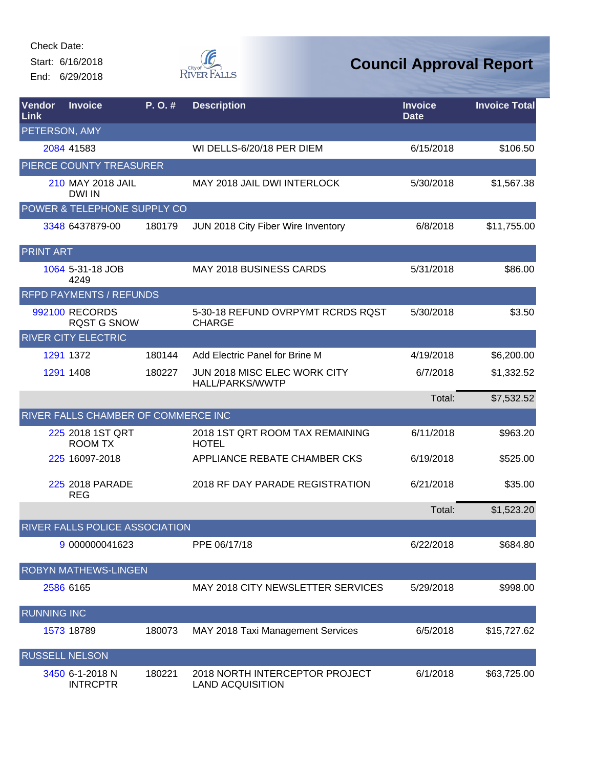Start: 6/16/2018 End: 6/29/2018



| Vendor<br>Link     | <b>Invoice</b>                        | P.O.#  | <b>Description</b>                                        | <b>Invoice</b><br><b>Date</b> | <b>Invoice Total</b> |
|--------------------|---------------------------------------|--------|-----------------------------------------------------------|-------------------------------|----------------------|
| PETERSON, AMY      |                                       |        |                                                           |                               |                      |
|                    | 2084 41583                            |        | WI DELLS-6/20/18 PER DIEM                                 | 6/15/2018                     | \$106.50             |
|                    | PIERCE COUNTY TREASURER               |        |                                                           |                               |                      |
|                    | 210 MAY 2018 JAIL<br><b>DWI IN</b>    |        | MAY 2018 JAIL DWI INTERLOCK                               | 5/30/2018                     | \$1,567.38           |
|                    | POWER & TELEPHONE SUPPLY CO           |        |                                                           |                               |                      |
|                    | 3348 6437879-00                       | 180179 | JUN 2018 City Fiber Wire Inventory                        | 6/8/2018                      | \$11,755.00          |
| <b>PRINT ART</b>   |                                       |        |                                                           |                               |                      |
|                    | 1064 5-31-18 JOB<br>4249              |        | <b>MAY 2018 BUSINESS CARDS</b>                            | 5/31/2018                     | \$86.00              |
|                    | <b>RFPD PAYMENTS / REFUNDS</b>        |        |                                                           |                               |                      |
|                    | 992100 RECORDS<br><b>RQST G SNOW</b>  |        | 5-30-18 REFUND OVRPYMT RCRDS RQST<br><b>CHARGE</b>        | 5/30/2018                     | \$3.50               |
|                    | <b>RIVER CITY ELECTRIC</b>            |        |                                                           |                               |                      |
|                    | 1291 1372                             | 180144 | Add Electric Panel for Brine M                            | 4/19/2018                     | \$6,200.00           |
|                    | 1291 1408                             | 180227 | JUN 2018 MISC ELEC WORK CITY<br>HALL/PARKS/WWTP           | 6/7/2018                      | \$1,332.52           |
|                    |                                       |        |                                                           | Total:                        | \$7,532.52           |
|                    | RIVER FALLS CHAMBER OF COMMERCE INC   |        |                                                           |                               |                      |
|                    | 225 2018 1ST QRT<br><b>ROOM TX</b>    |        | 2018 1ST QRT ROOM TAX REMAINING<br><b>HOTEL</b>           | 6/11/2018                     | \$963.20             |
|                    | 225 16097-2018                        |        | APPLIANCE REBATE CHAMBER CKS                              | 6/19/2018                     | \$525.00             |
|                    | 225 2018 PARADE<br><b>REG</b>         |        | 2018 RF DAY PARADE REGISTRATION                           | 6/21/2018                     | \$35.00              |
|                    |                                       |        |                                                           | Total:                        | \$1,523.20           |
|                    | <b>RIVER FALLS POLICE ASSOCIATION</b> |        |                                                           |                               |                      |
|                    | 9 000000041623                        |        | PPE 06/17/18                                              | 6/22/2018                     | \$684.80             |
|                    | <b>ROBYN MATHEWS-LINGEN</b>           |        |                                                           |                               |                      |
|                    | 2586 6165                             |        | MAY 2018 CITY NEWSLETTER SERVICES                         | 5/29/2018                     | \$998.00             |
| <b>RUNNING INC</b> |                                       |        |                                                           |                               |                      |
|                    | 1573 18789                            | 180073 | MAY 2018 Taxi Management Services                         | 6/5/2018                      | \$15,727.62          |
|                    | <b>RUSSELL NELSON</b>                 |        |                                                           |                               |                      |
|                    | 3450 6-1-2018 N<br><b>INTRCPTR</b>    | 180221 | 2018 NORTH INTERCEPTOR PROJECT<br><b>LAND ACQUISITION</b> | 6/1/2018                      | \$63,725.00          |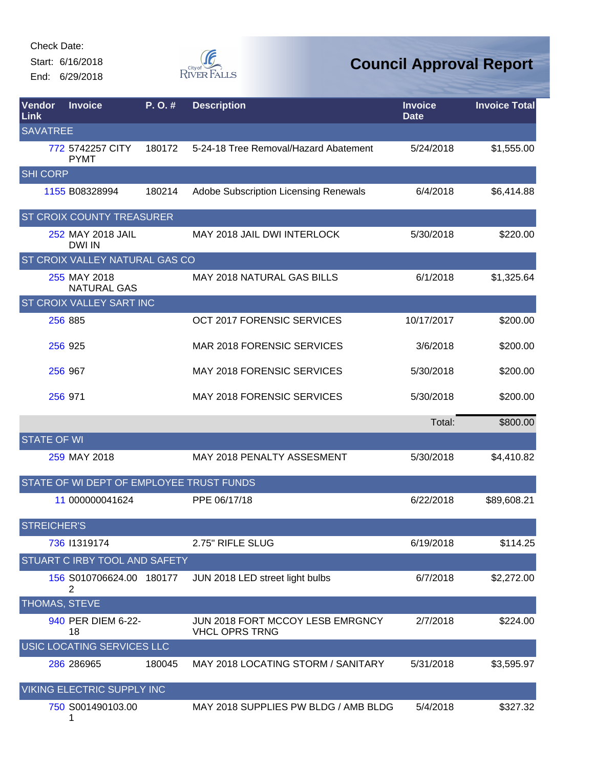Start: 6/16/2018 End: 6/29/2018



| Vendor<br>Link     | <b>Invoice</b>                           | $P. O.$ # | <b>Description</b>                                        | <b>Invoice</b><br><b>Date</b> | <b>Invoice Total</b> |
|--------------------|------------------------------------------|-----------|-----------------------------------------------------------|-------------------------------|----------------------|
| <b>SAVATREE</b>    |                                          |           |                                                           |                               |                      |
|                    | 772 5742257 CITY<br><b>PYMT</b>          | 180172    | 5-24-18 Tree Removal/Hazard Abatement                     | 5/24/2018                     | \$1,555.00           |
| <b>SHI CORP</b>    |                                          |           |                                                           |                               |                      |
|                    | 1155 B08328994                           | 180214    | Adobe Subscription Licensing Renewals                     | 6/4/2018                      | \$6,414.88           |
|                    | ST CROIX COUNTY TREASURER                |           |                                                           |                               |                      |
|                    | 252 MAY 2018 JAIL<br>DWI IN              |           | MAY 2018 JAIL DWI INTERLOCK                               | 5/30/2018                     | \$220.00             |
|                    | ST CROIX VALLEY NATURAL GAS CO           |           |                                                           |                               |                      |
|                    | 255 MAY 2018<br><b>NATURAL GAS</b>       |           | <b>MAY 2018 NATURAL GAS BILLS</b>                         | 6/1/2018                      | \$1,325.64           |
|                    | ST CROIX VALLEY SART INC                 |           |                                                           |                               |                      |
|                    | 256 885                                  |           | OCT 2017 FORENSIC SERVICES                                | 10/17/2017                    | \$200.00             |
|                    | 256 925                                  |           | MAR 2018 FORENSIC SERVICES                                | 3/6/2018                      | \$200.00             |
|                    | 256 967                                  |           | <b>MAY 2018 FORENSIC SERVICES</b>                         | 5/30/2018                     | \$200.00             |
|                    | 256 971                                  |           | <b>MAY 2018 FORENSIC SERVICES</b>                         | 5/30/2018                     | \$200.00             |
|                    |                                          |           |                                                           | Total:                        | \$800.00             |
| <b>STATE OF WI</b> |                                          |           |                                                           |                               |                      |
|                    | 259 MAY 2018                             |           | <b>MAY 2018 PENALTY ASSESMENT</b>                         | 5/30/2018                     | \$4,410.82           |
|                    | STATE OF WI DEPT OF EMPLOYEE TRUST FUNDS |           |                                                           |                               |                      |
|                    | 11 000000041624                          |           | PPE 06/17/18                                              | 6/22/2018                     | \$89,608.21          |
| <b>STREICHER'S</b> |                                          |           |                                                           |                               |                      |
|                    | 736 11319174                             |           | 2.75" RIFLE SLUG                                          | 6/19/2018                     | \$114.25             |
|                    | STUART C IRBY TOOL AND SAFETY            |           |                                                           |                               |                      |
|                    | 156 S010706624.00 180177<br>2            |           | JUN 2018 LED street light bulbs                           | 6/7/2018                      | \$2,272.00           |
| THOMAS, STEVE      |                                          |           |                                                           |                               |                      |
|                    | 940 PER DIEM 6-22-<br>18                 |           | JUN 2018 FORT MCCOY LESB EMRGNCY<br><b>VHCL OPRS TRNG</b> | 2/7/2018                      | \$224.00             |
|                    | USIC LOCATING SERVICES LLC               |           |                                                           |                               |                      |
|                    | 286 286965                               | 180045    | MAY 2018 LOCATING STORM / SANITARY                        | 5/31/2018                     | \$3,595.97           |
|                    | VIKING ELECTRIC SUPPLY INC               |           |                                                           |                               |                      |
|                    | 750 S001490103.00                        |           | MAY 2018 SUPPLIES PW BLDG / AMB BLDG                      | 5/4/2018                      | \$327.32             |